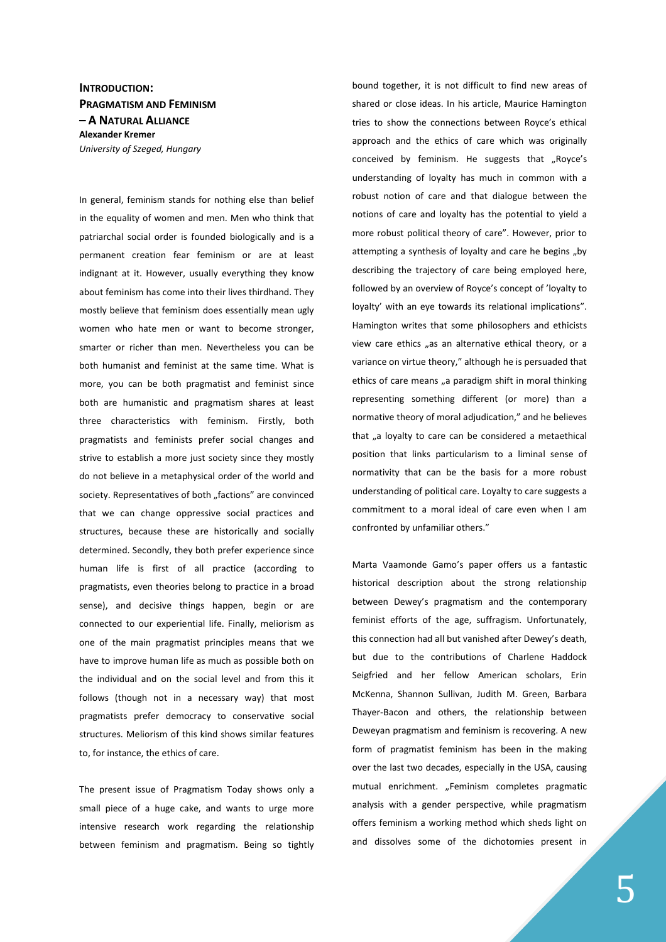## **INTRODUCTION: PRAGMATISM AND FEMINISM – A NATURAL ALLIANCE Alexander Kremer**  *University of Szeged, Hungary*

In general, feminism stands for nothing else than belief in the equality of women and men. Men who think that patriarchal social order is founded biologically and is a permanent creation fear feminism or are at least indignant at it. However, usually everything they know about feminism has come into their lives thirdhand. They mostly believe that feminism does essentially mean ugly women who hate men or want to become stronger, smarter or richer than men. Nevertheless you can be both humanist and feminist at the same time. What is more, you can be both pragmatist and feminist since both are humanistic and pragmatism shares at least three characteristics with feminism. Firstly, both pragmatists and feminists prefer social changes and strive to establish a more just society since they mostly do not believe in a metaphysical order of the world and society. Representatives of both "factions" are convinced that we can change oppressive social practices and structures, because these are historically and socially determined. Secondly, they both prefer experience since human life is first of all practice (according to pragmatists, even theories belong to practice in a broad sense), and decisive things happen, begin or are connected to our experiential life. Finally, meliorism as one of the main pragmatist principles means that we have to improve human life as much as possible both on the individual and on the social level and from this it follows (though not in a necessary way) that most pragmatists prefer democracy to conservative social structures. Meliorism of this kind shows similar features to, for instance, the ethics of care.

The present issue of Pragmatism Today shows only a small piece of a huge cake, and wants to urge more intensive research work regarding the relationship between feminism and pragmatism. Being so tightly

bound together, it is not difficult to find new areas of shared or close ideas. In his article, Maurice Hamington tries to show the connections between Royce's ethical approach and the ethics of care which was originally conceived by feminism. He suggests that "Royce's understanding of loyalty has much in common with a robust notion of care and that dialogue between the notions of care and loyalty has the potential to yield a more robust political theory of care". However, prior to attempting a synthesis of loyalty and care he begins "by describing the trajectory of care being employed here, followed by an overview of Royce's concept of 'loyalty to loyalty' with an eye towards its relational implications". Hamington writes that some philosophers and ethicists view care ethics "as an alternative ethical theory, or a variance on virtue theory," although he is persuaded that ethics of care means "a paradigm shift in moral thinking representing something different (or more) than a normative theory of moral adjudication," and he believes that "a loyalty to care can be considered a metaethical position that links particularism to a liminal sense of normativity that can be the basis for a more robust understanding of political care. Loyalty to care suggests a commitment to a moral ideal of care even when I am confronted by unfamiliar others."

Marta Vaamonde Gamo's paper offers us a fantastic historical description about the strong relationship between Dewey's pragmatism and the contemporary feminist efforts of the age, suffragism. Unfortunately, this connection had all but vanished after Dewey's death, but due to the contributions of Charlene Haddock Seigfried and her fellow American scholars, Erin McKenna, Shannon Sullivan, Judith M. Green, Barbara Thayer-Bacon and others, the relationship between Deweyan pragmatism and feminism is recovering. A new form of pragmatist feminism has been in the making over the last two decades, especially in the USA, causing mutual enrichment. "Feminism completes pragmatic analysis with a gender perspective, while pragmatism offers feminism a working method which sheds light on and dissolves some of the dichotomies present in